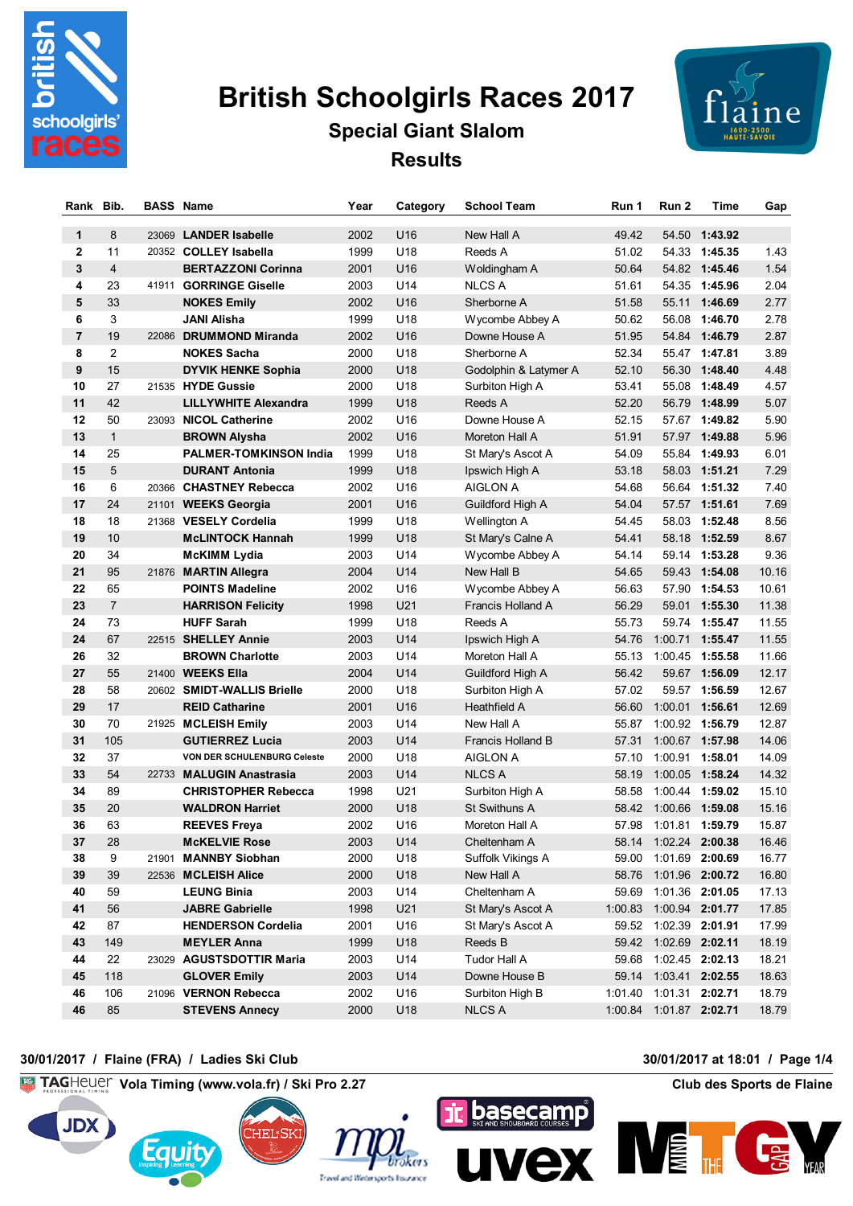

# **British Schoolgirls Races 2017**

# **Special Giant Slalom Results**



| Rank           | Bib.           | <b>BASS Name</b> |                                               | Year         | Category   | <b>School Team</b>              | Run 1          | Run <sub>2</sub>        | Time                               | Gap            |
|----------------|----------------|------------------|-----------------------------------------------|--------------|------------|---------------------------------|----------------|-------------------------|------------------------------------|----------------|
| $\mathbf{1}$   | 8              |                  | 23069 LANDER Isabelle                         | 2002         | U16        | New Hall A                      | 49.42          |                         | 54.50 1:43.92                      |                |
| $\mathbf{2}$   | 11             |                  | 20352 COLLEY Isabella                         | 1999         | U18        | Reeds A                         | 51.02          |                         | 54.33 1:45.35                      | 1.43           |
| 3              | $\overline{4}$ |                  | <b>BERTAZZONI Corinna</b>                     | 2001         | U16        | Woldingham A                    | 50.64          |                         | 54.82 1:45.46                      | 1.54           |
| 4              | 23             |                  | 41911 GORRINGE Giselle                        | 2003         | U14        | <b>NLCS A</b>                   | 51.61          |                         | 54.35 1:45.96                      | 2.04           |
| 5              | 33             |                  | <b>NOKES Emily</b>                            | 2002         | U16        | Sherborne A                     | 51.58          |                         | 55.11 1:46.69                      | 2.77           |
| 6              | 3              |                  | JANI Alisha                                   | 1999         | U18        | Wycombe Abbey A                 | 50.62          |                         | 56.08 1:46.70                      | 2.78           |
| $\overline{7}$ | 19             |                  | 22086 DRUMMOND Miranda                        | 2002         | U16        | Downe House A                   | 51.95          |                         | 54.84 1:46.79                      | 2.87           |
| 8              | 2              |                  | <b>NOKES Sacha</b>                            | 2000         | U18        | Sherborne A                     | 52.34          |                         | 55.47 1:47.81                      | 3.89           |
| 9              | 15             |                  | <b>DYVIK HENKE Sophia</b>                     | 2000         | U18        | Godolphin & Latymer A           | 52.10          |                         | 56.30 1:48.40                      | 4.48           |
| 10             | 27             |                  | 21535 HYDE Gussie                             | 2000         | U18        | Surbiton High A                 | 53.41          |                         | 55.08 1:48.49                      | 4.57           |
| 11             | 42             |                  | <b>LILLYWHITE Alexandra</b>                   | 1999         | U18        | Reeds A                         | 52.20          |                         | 56.79 1:48.99                      | 5.07           |
| 12             | 50             |                  | 23093 NICOL Catherine                         | 2002         | U16        | Downe House A                   | 52.15          |                         | 57.67 1:49.82                      | 5.90           |
| 13             | $\mathbf{1}$   |                  | <b>BROWN Alysha</b>                           | 2002         | U16        | Moreton Hall A                  | 51.91          |                         | 57.97 1:49.88                      | 5.96           |
| 14             | 25             |                  | <b>PALMER-TOMKINSON India</b>                 | 1999         | U18        | St Mary's Ascot A               | 54.09          |                         | 55.84 1:49.93                      | 6.01           |
| 15             | 5              |                  | <b>DURANT Antonia</b>                         | 1999         | U18        | Ipswich High A                  | 53.18          |                         | 58.03 1:51.21                      | 7.29           |
| 16             | 6              |                  | 20366 CHASTNEY Rebecca                        | 2002         | U16        | AIGLON A                        | 54.68          |                         | 56.64 1:51.32                      | 7.40           |
| 17             | 24             |                  | 21101 WEEKS Georgia                           | 2001         | U16        | Guildford High A                | 54.04          |                         | 57.57 1:51.61                      | 7.69           |
| 18             | 18             |                  | 21368 VESELY Cordelia                         | 1999         | U18        | Wellington A                    | 54.45          |                         | 58.03 1:52.48                      | 8.56           |
| 19             | 10             |                  | <b>McLINTOCK Hannah</b>                       | 1999         | U18        | St Mary's Calne A               | 54.41          |                         | 58.18 1:52.59                      | 8.67           |
| 20             | 34             |                  | <b>McKIMM Lydia</b>                           | 2003         | U14        | Wycombe Abbey A                 | 54.14          |                         | 59.14 1:53.28                      | 9.36           |
| 21             | 95             |                  | 21876 MARTIN Allegra                          | 2004         | U14        | New Hall B                      | 54.65          |                         | 59.43 1:54.08                      | 10.16          |
| 22             | 65             |                  | <b>POINTS Madeline</b>                        | 2002         | U16        | Wycombe Abbey A                 | 56.63          |                         | 57.90 1:54.53                      | 10.61          |
| 23             | $\overline{7}$ |                  | <b>HARRISON Felicity</b>                      | 1998         | U21        | Francis Holland A               | 56.29          | 59.01                   | 1:55.30                            | 11.38          |
| 24             | 73             |                  | <b>HUFF Sarah</b>                             | 1999         | U18        | Reeds A                         | 55.73          | 59.74                   | 1:55.47                            | 11.55          |
| 24             | 67             |                  | 22515 SHELLEY Annie                           | 2003         | U14        | Ipswich High A                  | 54.76          |                         | 1:00.71 1:55.47                    | 11.55          |
| 26             | 32             |                  | <b>BROWN Charlotte</b>                        | 2003         | U14        | Moreton Hall A                  | 55.13          | 1:00.45 1:55.58         |                                    | 11.66          |
| 27             | 55             |                  | 21400 <b>WEEKS Ella</b>                       | 2004         | U14        | Guildford High A                | 56.42          |                         | 59.67 1:56.09                      | 12.17          |
| 28             | 58             |                  | 20602 SMIDT-WALLIS Brielle                    | 2000         | U18        | Surbiton High A                 | 57.02          |                         | 59.57 1:56.59                      | 12.67          |
| 29             | 17             |                  | <b>REID Catharine</b>                         | 2001         | U16        | Heathfield A                    | 56.60          | 1:00.01 1:56.61         |                                    | 12.69          |
| 30             | 70             |                  | 21925 MCLEISH Emily                           | 2003         | U14        | New Hall A                      | 55.87          | 1:00.92 1:56.79         |                                    | 12.87          |
| 31             | 105            |                  | <b>GUTIERREZ Lucia</b>                        | 2003         | U14        | Francis Holland B               | 57.31          | 1:00.67 1:57.98         |                                    | 14.06          |
| 32             | 37             |                  | VON DER SCHULENBURG Celeste                   | 2000         | U18        | <b>AIGLON A</b>                 | 57.10          | 1:00.91 1:58.01         |                                    | 14.09          |
| 33             | 54             |                  | 22733 MALUGIN Anastrasia                      | 2003         | U14        | <b>NLCS A</b>                   | 58.19          |                         | 1:00.05 1:58.24<br>1:00.44 1:59.02 | 14.32          |
| 34<br>35       | 89<br>20       |                  | <b>CHRISTOPHER Rebecca</b>                    | 1998<br>2000 | U21<br>U18 | Surbiton High A                 | 58.58<br>58.42 | 1:00.66 1:59.08         |                                    | 15.10<br>15.16 |
| 36             | 63             |                  | <b>WALDRON Harriet</b><br><b>REEVES Freya</b> | 2002         | U16        | St Swithuns A<br>Moreton Hall A |                | 57.98 1:01.81 1:59.79   |                                    | 15.87          |
| 37             | 28             |                  | <b>McKELVIE Rose</b>                          | 2003         | U14        | Cheltenham A                    |                | 58.14 1:02.24 2:00.38   |                                    | 16.46          |
| 38             | 9              |                  | 21901 MANNBY Siobhan                          | 2000         | U18        | Suffolk Vikings A               |                | 59.00 1:01.69 2:00.69   |                                    | 16.77          |
| 39             | 39             |                  | 22536 MCLEISH Alice                           | 2000         | U18        | New Hall A                      |                | 58.76 1:01.96 2:00.72   |                                    | 16.80          |
| 40             | 59             |                  | <b>LEUNG Binia</b>                            | 2003         | U14        | Cheltenham A                    |                | 59.69 1:01.36 2:01.05   |                                    | 17.13          |
| 41             | 56             |                  | <b>JABRE Gabrielle</b>                        | 1998         | U21        | St Mary's Ascot A               |                | 1:00.83 1:00.94 2:01.77 |                                    | 17.85          |
| 42             | 87             |                  | <b>HENDERSON Cordelia</b>                     | 2001         | U16        | St Mary's Ascot A               |                | 59.52 1:02.39 2:01.91   |                                    | 17.99          |
| 43             | 149            |                  | <b>MEYLER Anna</b>                            | 1999         | U18        | Reeds B                         |                | 59.42 1:02.69 2:02.11   |                                    | 18.19          |
| 44             | 22             |                  | 23029 AGUSTSDOTTIR Maria                      | 2003         | U14        | Tudor Hall A                    |                | 59.68 1:02.45 2:02.13   |                                    | 18.21          |
| 45             | 118            |                  | <b>GLOVER Emily</b>                           | 2003         | U14        | Downe House B                   |                | 59.14  1:03.41  2:02.55 |                                    | 18.63          |
| 46             | 106            |                  | 21096 VERNON Rebecca                          | 2002         | U16        | Surbiton High B                 |                | 1:01.40 1:01.31 2:02.71 |                                    | 18.79          |
| 46             | 85             |                  | <b>STEVENS Annecy</b>                         | 2000         | U18        | <b>NLCS A</b>                   |                | 1:00.84 1:01.87 2:02.71 |                                    | 18.79          |

## **30/01/2017 / Flaine (FRA) / Ladies Ski Club 30/01/2017 at 18:01 / Page 1/4**

**Vola Timing (www.vola.fr) / Ski Pro 2.27 Club des Sports de Flaine**









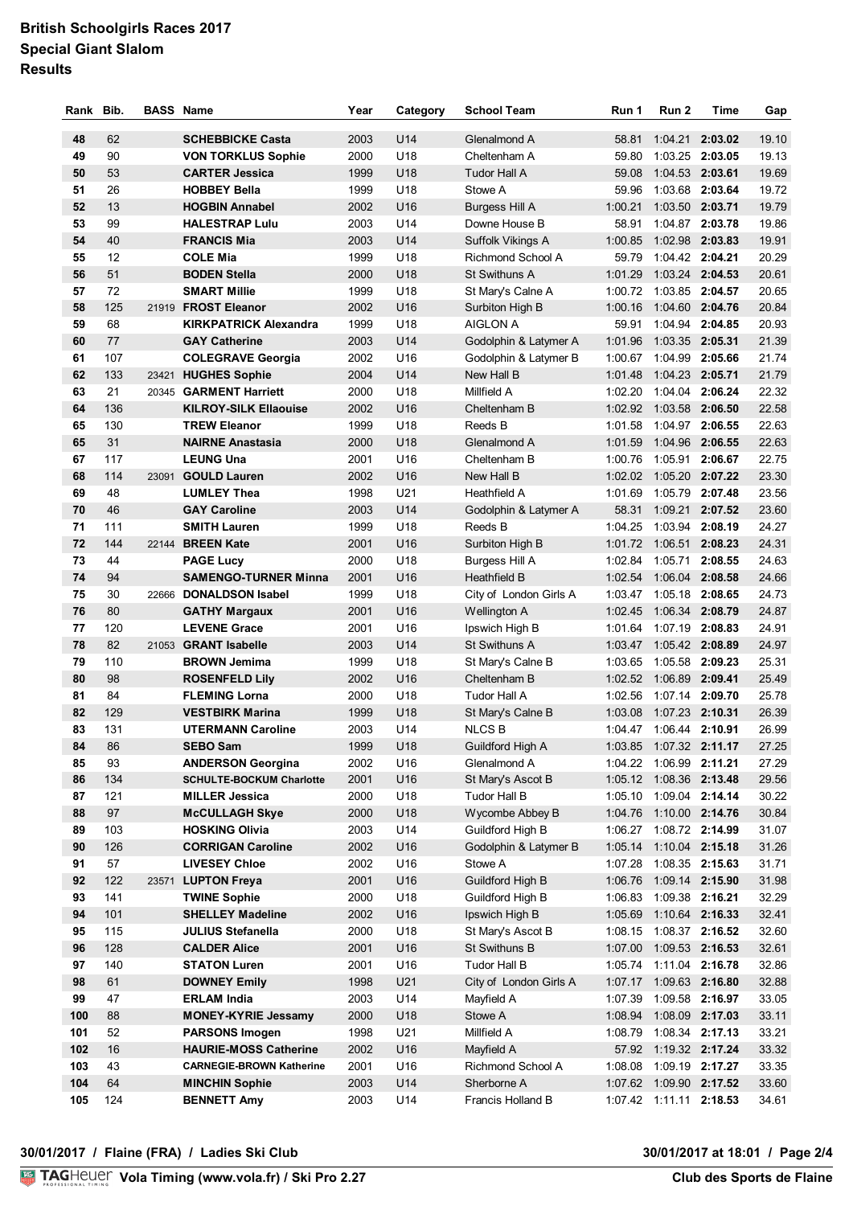# **British Schoolgirls Races 2017 Special Giant Slalom Results**

| Rank | Bib. | <b>BASS Name</b> |                                 | Year | Category        | <b>School Team</b>     | Run 1   | Run 2                     | Time            | Gap   |
|------|------|------------------|---------------------------------|------|-----------------|------------------------|---------|---------------------------|-----------------|-------|
| 48   | 62   |                  | <b>SCHEBBICKE Casta</b>         | 2003 | U14             | Glenalmond A           | 58.81   |                           | 1:04.21 2:03.02 | 19.10 |
| 49   | 90   |                  | <b>VON TORKLUS Sophie</b>       | 2000 | U18             | Cheltenham A           |         | 59.80 1:03.25 2:03.05     |                 | 19.13 |
| 50   | 53   |                  | <b>CARTER Jessica</b>           | 1999 | U18             | <b>Tudor Hall A</b>    | 59.08   | 1:04.53 2:03.61           |                 | 19.69 |
| 51   | 26   |                  | <b>HOBBEY Bella</b>             | 1999 | U18             | Stowe A                | 59.96   | 1:03.68 2:03.64           |                 | 19.72 |
| 52   | 13   |                  | <b>HOGBIN Annabel</b>           | 2002 | U16             | <b>Burgess Hill A</b>  |         | 1:00.21  1:03.50  2:03.71 |                 | 19.79 |
| 53   | 99   |                  | <b>HALESTRAP Lulu</b>           | 2003 | U14             | Downe House B          |         | 58.91 1:04.87 2:03.78     |                 | 19.86 |
| 54   | 40   |                  | <b>FRANCIS Mia</b>              | 2003 | U14             | Suffolk Vikings A      | 1:00.85 | 1:02.98 2:03.83           |                 | 19.91 |
| 55   | 12   |                  | <b>COLE Mia</b>                 | 1999 | U18             | Richmond School A      |         | 59.79 1:04.42 2:04.21     |                 | 20.29 |
| 56   | 51   |                  | <b>BODEN Stella</b>             | 2000 | U18             | <b>St Swithuns A</b>   | 1:01.29 | 1:03.24 2:04.53           |                 | 20.61 |
| 57   | 72   |                  | <b>SMART Millie</b>             | 1999 | U18             | St Mary's Calne A      |         | 1:00.72 1:03.85 2:04.57   |                 | 20.65 |
| 58   | 125  |                  | 21919 FROST Eleanor             | 2002 | U16             | Surbiton High B        |         | 1:00.16 1:04.60 2:04.76   |                 | 20.84 |
| 59   | 68   |                  | <b>KIRKPATRICK Alexandra</b>    | 1999 | U18             | <b>AIGLON A</b>        | 59.91   |                           | 1:04.94 2:04.85 | 20.93 |
| 60   | 77   |                  | <b>GAY Catherine</b>            | 2003 | U14             | Godolphin & Latymer A  | 1:01.96 | 1:03.35 2:05.31           |                 | 21.39 |
| 61   | 107  |                  | <b>COLEGRAVE Georgia</b>        | 2002 | U16             | Godolphin & Latymer B  | 1:00.67 |                           | 1:04.99 2:05.66 | 21.74 |
| 62   | 133  | 23421            | <b>HUGHES Sophie</b>            | 2004 | U14             | New Hall B             | 1:01.48 | 1:04.23 2:05.71           |                 | 21.79 |
| 63   | 21   |                  | 20345 GARMENT Harriett          | 2000 | U18             | Millfield A            |         | 1:02.20 1:04.04 2:06.24   |                 | 22.32 |
| 64   | 136  |                  | <b>KILROY-SILK Ellaouise</b>    | 2002 | U16             | Cheltenham B           |         | 1:02.92  1:03.58  2:06.50 |                 | 22.58 |
| 65   | 130  |                  | <b>TREW Eleanor</b>             | 1999 | U18             | Reeds B                | 1:01.58 | 1:04.97 2:06.55           |                 | 22.63 |
| 65   | 31   |                  | <b>NAIRNE Anastasia</b>         | 2000 | U18             | Glenalmond A           | 1:01.59 | 1:04.96 2:06.55           |                 | 22.63 |
| 67   | 117  |                  | <b>LEUNG Una</b>                | 2001 | U <sub>16</sub> | Cheltenham B           |         | 1:00.76 1:05.91 2:06.67   |                 | 22.75 |
| 68   | 114  |                  | 23091 GOULD Lauren              | 2002 | U16             | New Hall B             |         | 1:02.02 1:05.20 2:07.22   |                 | 23.30 |
| 69   | 48   |                  | <b>LUMLEY Thea</b>              | 1998 | U21             | Heathfield A           |         | 1:01.69  1:05.79  2:07.48 |                 | 23.56 |
| 70   | 46   |                  | <b>GAY Caroline</b>             | 2003 | U14             | Godolphin & Latymer A  |         | 58.31 1:09.21 2:07.52     |                 | 23.60 |
| 71   | 111  |                  | <b>SMITH Lauren</b>             | 1999 | U18             | Reeds B                |         | 1:04.25  1:03.94  2:08.19 |                 | 24.27 |
| 72   | 144  |                  | 22144 BREEN Kate                | 2001 | U16             | Surbiton High B        |         | 1:01.72 1:06.51 2:08.23   |                 | 24.31 |
| 73   | 44   |                  | <b>PAGE Lucy</b>                | 2000 | U18             | Burgess Hill A         | 1:02.84 |                           | 1:05.71 2:08.55 | 24.63 |
| 74   | 94   |                  | <b>SAMENGO-TURNER Minna</b>     | 2001 | U16             | <b>Heathfield B</b>    | 1:02.54 | 1:06.04 2:08.58           |                 | 24.66 |
| 75   | 30   |                  | 22666 DONALDSON Isabel          | 1999 | U18             | City of London Girls A |         | 1:03.47 1:05.18 2:08.65   |                 | 24.73 |
| 76   | 80   |                  | <b>GATHY Margaux</b>            | 2001 | U16             | Wellington A           |         | 1:02.45 1:06.34 2:08.79   |                 | 24.87 |
| 77   | 120  |                  | <b>LEVENE Grace</b>             | 2001 | U16             | Ipswich High B         |         | 1:01.64 1:07.19 2:08.83   |                 | 24.91 |
| 78   | 82   |                  | 21053 GRANT Isabelle            | 2003 | U14             | St Swithuns A          |         | 1:03.47 1:05.42 2:08.89   |                 | 24.97 |
| 79   | 110  |                  | <b>BROWN Jemima</b>             | 1999 | U18             | St Mary's Calne B      |         | 1:03.65 1:05.58 2:09.23   |                 | 25.31 |
| 80   | 98   |                  | <b>ROSENFELD Lily</b>           | 2002 | U16             | Cheltenham B           |         | 1:02.52 1:06.89 2:09.41   |                 | 25.49 |
| 81   | 84   |                  | <b>FLEMING Lorna</b>            | 2000 | U18             | Tudor Hall A           |         | 1:02.56 1:07.14 2:09.70   |                 | 25.78 |
| 82   | 129  |                  | <b>VESTBIRK Marina</b>          | 1999 | U18             | St Mary's Calne B      | 1:03.08 | 1:07.23 2:10.31           |                 | 26.39 |
| 83   | 131  |                  | <b>UTERMANN Caroline</b>        | 2003 | U14             | <b>NLCSB</b>           |         | 1:04.47 1:06.44 2:10.91   |                 | 26.99 |
| 84   | 86   |                  | <b>SEBO Sam</b>                 | 1999 | U18             | Guildford High A       |         | 1:03.85  1:07.32  2:11.17 |                 | 27.25 |
| 85   | 93   |                  | <b>ANDERSON Georgina</b>        | 2002 | U16             | Glenalmond A           |         | 1:04.22 1:06.99 2:11.21   |                 | 27.29 |
| 86   | 134  |                  | <b>SCHULTE-BOCKUM Charlotte</b> | 2001 | U16             | St Mary's Ascot B      |         | 1:05.12 1:08.36 2:13.48   |                 | 29.56 |
| 87   | 121  |                  | <b>MILLER Jessica</b>           | 2000 | U18             | Tudor Hall B           |         | 1:05.10 1:09.04 2:14.14   |                 | 30.22 |
| 88   | 97   |                  | <b>McCULLAGH Skye</b>           | 2000 | U18             | Wycombe Abbey B        |         | 1:04.76 1:10.00 2:14.76   |                 | 30.84 |
| 89   | 103  |                  | <b>HOSKING Olivia</b>           | 2003 | U14             | Guildford High B       |         | 1:06.27 1:08.72 2:14.99   |                 | 31.07 |
| 90   | 126  |                  | <b>CORRIGAN Caroline</b>        | 2002 | U16             | Godolphin & Latymer B  |         | 1:05.14 1:10.04 2:15.18   |                 | 31.26 |
| 91   | 57   |                  | <b>LIVESEY Chloe</b>            | 2002 | U16             | Stowe A                |         | 1:07.28 1:08.35 2:15.63   |                 | 31.71 |
| 92   | 122  |                  | 23571 LUPTON Freya              | 2001 | U16             | Guildford High B       |         | 1:06.76 1:09.14 2:15.90   |                 | 31.98 |
| 93   | 141  |                  | <b>TWINE Sophie</b>             | 2000 | U18             | Guildford High B       |         | 1:06.83 1:09.38 2:16.21   |                 | 32.29 |
| 94   | 101  |                  | <b>SHELLEY Madeline</b>         | 2002 | U16             | Ipswich High B         |         | 1:05.69 1:10.64 2:16.33   |                 | 32.41 |
| 95   | 115  |                  | <b>JULIUS Stefanella</b>        | 2000 | U18             | St Mary's Ascot B      |         | 1:08.15 1:08.37 2:16.52   |                 | 32.60 |
| 96   | 128  |                  | <b>CALDER Alice</b>             | 2001 | U16             | St Swithuns B          |         | 1:07.00 1:09.53 2:16.53   |                 | 32.61 |
| 97   | 140  |                  | <b>STATON Luren</b>             | 2001 | U16             | Tudor Hall B           |         | 1:05.74  1:11.04  2:16.78 |                 | 32.86 |
| 98   | 61   |                  | <b>DOWNEY Emily</b>             | 1998 | U21             | City of London Girls A |         | 1:07.17 1:09.63 2:16.80   |                 | 32.88 |
| 99   | 47   |                  | <b>ERLAM India</b>              | 2003 | U14             | Mayfield A             |         | 1:07.39 1:09.58 2:16.97   |                 | 33.05 |
| 100  | 88   |                  | <b>MONEY-KYRIE Jessamy</b>      | 2000 | U18             | Stowe A                |         | 1:08.94 1:08.09 2:17.03   |                 | 33.11 |
| 101  | 52   |                  | <b>PARSONS Imogen</b>           | 1998 | U21             | Millfield A            |         | 1:08.79 1:08.34 2:17.13   |                 | 33.21 |
| 102  | 16   |                  | <b>HAURIE-MOSS Catherine</b>    | 2002 | U16             | Mayfield A             |         | 57.92 1:19.32 2:17.24     |                 | 33.32 |
| 103  | 43   |                  | <b>CARNEGIE-BROWN Katherine</b> | 2001 | U16             | Richmond School A      |         | 1:08.08 1:09.19 2:17.27   |                 | 33.35 |
| 104  | 64   |                  | <b>MINCHIN Sophie</b>           | 2003 | U14             | Sherborne A            |         | 1:07.62 1:09.90 2:17.52   |                 | 33.60 |
| 105  | 124  |                  | <b>BENNETT Amy</b>              | 2003 | U14             | Francis Holland B      |         | 1:07.42 1:11.11 2:18.53   |                 | 34.61 |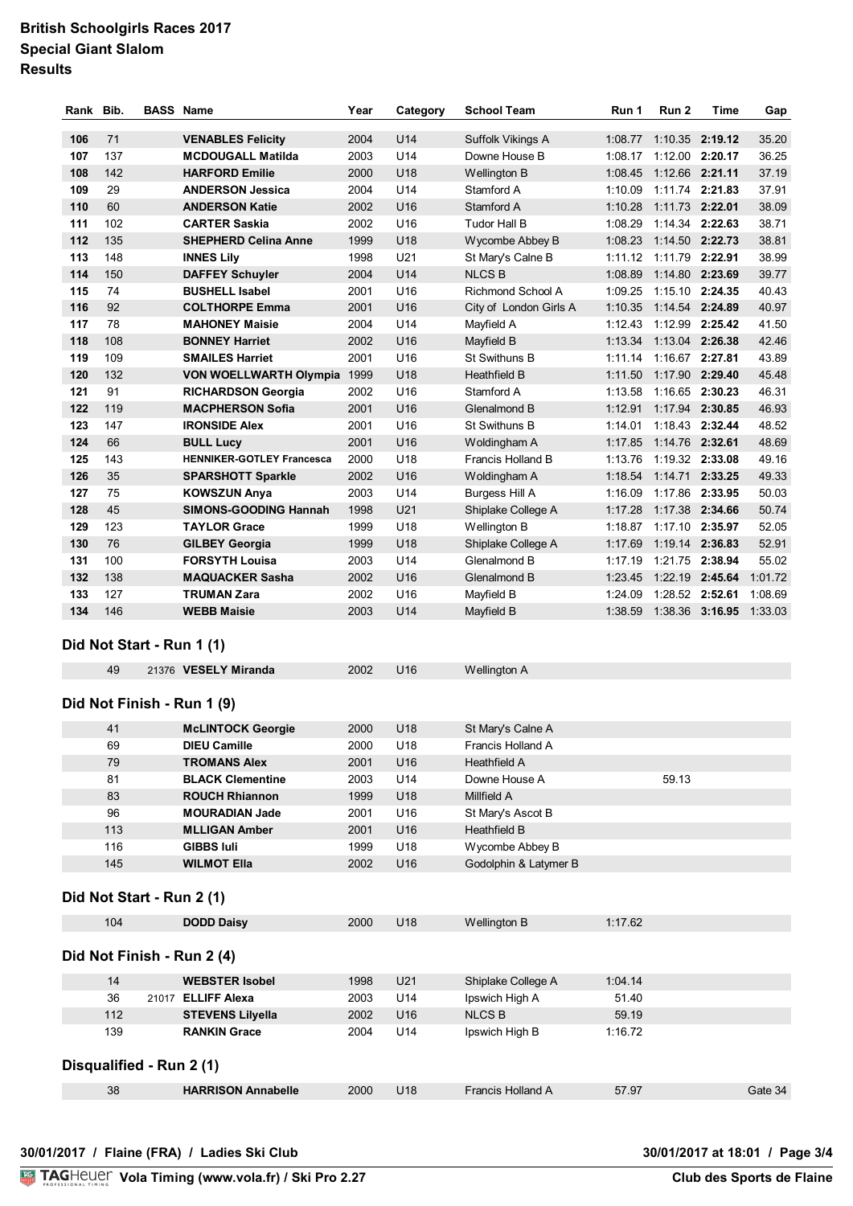## **British Schoolgirls Races 2017 Special Giant Slalom Results**

| Rank Bib. |     | <b>BASS Name</b>                 | Year | Category        | <b>School Team</b>     | Run 1   | Run <sub>2</sub> | <b>Time</b>     | Gap     |
|-----------|-----|----------------------------------|------|-----------------|------------------------|---------|------------------|-----------------|---------|
|           |     |                                  |      |                 |                        |         |                  |                 |         |
| 106       | 71  | <b>VENABLES Felicity</b>         | 2004 | U <sub>14</sub> | Suffolk Vikings A      | 1:08.77 |                  | 1:10.35 2:19.12 | 35.20   |
| 107       | 137 | <b>MCDOUGALL Matilda</b>         | 2003 | U <sub>14</sub> | Downe House B          | 1:08.17 | 1:12.00 2:20.17  |                 | 36.25   |
| 108       | 142 | <b>HARFORD Emilie</b>            | 2000 | U18             | <b>Wellington B</b>    | 1:08.45 | 1:12.66 2:21.11  |                 | 37.19   |
| 109       | 29  | <b>ANDERSON Jessica</b>          | 2004 | U14             | Stamford A             | 1:10.09 |                  | 1:11.74 2:21.83 | 37.91   |
| 110       | 60  | <b>ANDERSON Katie</b>            | 2002 | U <sub>16</sub> | Stamford A             | 1:10.28 | 1:11.73 2:22.01  |                 | 38.09   |
| 111       | 102 | <b>CARTER Saskia</b>             | 2002 | U16             | <b>Tudor Hall B</b>    | 1:08.29 |                  | 1:14.34 2:22.63 | 38.71   |
| 112       | 135 | <b>SHEPHERD Celina Anne</b>      | 1999 | U18             | Wycombe Abbey B        | 1:08.23 | 1:14.50 2:22.73  |                 | 38.81   |
| 113       | 148 | <b>INNES Lily</b>                | 1998 | U21             | St Mary's Calne B      | 1:11.12 | 1:11.79 2:22.91  |                 | 38.99   |
| 114       | 150 | <b>DAFFEY Schuyler</b>           | 2004 | U14             | <b>NLCSB</b>           | 1:08.89 |                  | 1:14.80 2:23.69 | 39.77   |
| 115       | 74  | <b>BUSHELL Isabel</b>            | 2001 | U16             | Richmond School A      | 1:09.25 |                  | 1:15.10 2:24.35 | 40.43   |
| 116       | 92  | <b>COLTHORPE Emma</b>            | 2001 | U <sub>16</sub> | City of London Girls A | 1:10.35 | 1:14.54 2:24.89  |                 | 40.97   |
| 117       | 78  | <b>MAHONEY Maisie</b>            | 2004 | U14             | Mayfield A             | 1:12.43 | 1:12.99 2:25.42  |                 | 41.50   |
| 118       | 108 | <b>BONNEY Harriet</b>            | 2002 | U <sub>16</sub> | Mayfield B             | 1:13.34 | 1:13.04 2:26.38  |                 | 42.46   |
| 119       | 109 | <b>SMAILES Harriet</b>           | 2001 | U16             | St Swithuns B          | 1:11.14 | 1:16.67 2:27.81  |                 | 43.89   |
| 120       | 132 | <b>VON WOELLWARTH Olympia</b>    | 1999 | U18             | <b>Heathfield B</b>    | 1:11.50 | 1:17.90 2:29.40  |                 | 45.48   |
| 121       | 91  | <b>RICHARDSON Georgia</b>        | 2002 | U <sub>16</sub> | Stamford A             | 1:13.58 |                  | 1:16.65 2:30.23 | 46.31   |
| 122       | 119 | <b>MACPHERSON Sofia</b>          | 2001 | U <sub>16</sub> | Glenalmond B           | 1:12.91 |                  | 1:17.94 2:30.85 | 46.93   |
| 123       | 147 | <b>IRONSIDE Alex</b>             | 2001 | U <sub>16</sub> | St Swithuns B          | 1:14.01 |                  | 1:18.43 2:32.44 | 48.52   |
| 124       | 66  | <b>BULL Lucy</b>                 | 2001 | U <sub>16</sub> | Woldingham A           | 1:17.85 | 1:14.76 2:32.61  |                 | 48.69   |
| 125       | 143 | <b>HENNIKER-GOTLEY Francesca</b> | 2000 | U18             | Francis Holland B      | 1:13.76 | 1:19.32 2:33.08  |                 | 49.16   |
| 126       | 35  | <b>SPARSHOTT Sparkle</b>         | 2002 | U <sub>16</sub> | Woldingham A           | 1:18.54 |                  | 1:14.71 2:33.25 | 49.33   |
| 127       | 75  | <b>KOWSZUN Anya</b>              | 2003 | U14             | <b>Burgess Hill A</b>  | 1:16.09 |                  | 1:17.86 2:33.95 | 50.03   |
| 128       | 45  | <b>SIMONS-GOODING Hannah</b>     | 1998 | U21             | Shiplake College A     | 1:17.28 |                  | 1:17.38 2:34.66 | 50.74   |
| 129       | 123 | <b>TAYLOR Grace</b>              | 1999 | U18             | Wellington B           | 1:18.87 |                  | 1:17.10 2:35.97 | 52.05   |
| 130       | 76  | <b>GILBEY Georgia</b>            | 1999 | U18             | Shiplake College A     | 1:17.69 | 1:19.14 2:36.83  |                 | 52.91   |
| 131       | 100 | <b>FORSYTH Louisa</b>            | 2003 | U <sub>14</sub> | Glenalmond B           | 1:17.19 |                  | 1:21.75 2:38.94 | 55.02   |
| 132       | 138 | <b>MAQUACKER Sasha</b>           | 2002 | U <sub>16</sub> | Glenalmond B           | 1:23.45 | 1:22.19 2:45.64  |                 | 1:01.72 |
| 133       | 127 | <b>TRUMAN Zara</b>               | 2002 | U <sub>16</sub> | Mayfield B             | 1:24.09 | 1:28.52 2:52.61  |                 | 1:08.69 |
| 134       | 146 | <b>WEBB Maisie</b>               | 2003 | U14             | Mayfield B             | 1:38.59 |                  | 1:38.36 3:16.95 | 1:33.03 |
|           |     |                                  |      |                 |                        |         |                  |                 |         |

#### **Did Not Start - Run 1 (1)**

| 49 | 21376 VESELY Miranda | 2002 | Wellington A |
|----|----------------------|------|--------------|
|    |                      |      |              |

#### **Did Not Finish - Run 1 (9)**

| 41  | <b>McLINTOCK Georgie</b> | 2000 | U <sub>18</sub> | St Mary's Calne A     |       |
|-----|--------------------------|------|-----------------|-----------------------|-------|
| 69  | <b>DIEU Camille</b>      | 2000 | U18             | Francis Holland A     |       |
| 79  | <b>TROMANS Alex</b>      | 2001 | U <sub>16</sub> | Heathfield A          |       |
| 81  | <b>BLACK Clementine</b>  | 2003 | U <sub>14</sub> | Downe House A         | 59.13 |
| 83  | <b>ROUCH Rhiannon</b>    | 1999 | U <sub>18</sub> | Millfield A           |       |
| 96  | <b>MOURADIAN Jade</b>    | 2001 | U <sub>16</sub> | St Mary's Ascot B     |       |
| 113 | <b>MLLIGAN Amber</b>     | 2001 | U <sub>16</sub> | Heathfield B          |       |
| 116 | <b>GIBBS Iuli</b>        | 1999 | U <sub>18</sub> | Wycombe Abbey B       |       |
| 145 | <b>WILMOT EIIa</b>       | 2002 | U <sub>16</sub> | Godolphin & Latymer B |       |
|     |                          |      |                 |                       |       |

#### **Did Not Start - Run 2 (1)**

|                            | 104 |       | <b>DODD Daisy</b>         | 2000 | U <sub>18</sub> | Wellington B       | 1:17.62 |         |  |  |  |
|----------------------------|-----|-------|---------------------------|------|-----------------|--------------------|---------|---------|--|--|--|
| Did Not Finish - Run 2 (4) |     |       |                           |      |                 |                    |         |         |  |  |  |
|                            | 14  |       | <b>WEBSTER Isobel</b>     | 1998 | U <sub>21</sub> | Shiplake College A | 1:04.14 |         |  |  |  |
|                            | 36  | 21017 | <b>ELLIFF Alexa</b>       | 2003 | U <sub>14</sub> | Ipswich High A     | 51.40   |         |  |  |  |
|                            | 112 |       | <b>STEVENS Lilyella</b>   | 2002 | U <sub>16</sub> | <b>NLCS B</b>      | 59.19   |         |  |  |  |
|                            | 139 |       | <b>RANKIN Grace</b>       | 2004 | U14             | Ipswich High B     | 1:16.72 |         |  |  |  |
| Disqualified - Run 2 (1)   |     |       |                           |      |                 |                    |         |         |  |  |  |
|                            | 38  |       | <b>HARRISON Annabelle</b> | 2000 | U <sub>18</sub> | Francis Holland A  | 57.97   | Gate 34 |  |  |  |